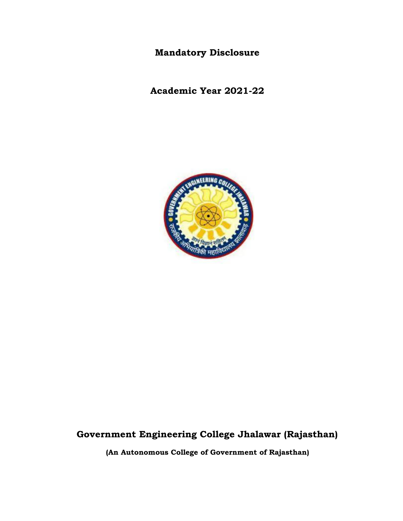**Mandatory Disclosure** 

**Academic Year 2021-22**



# **Government Engineering College Jhalawar (Rajasthan)**

**(An Autonomous College of Government of Rajasthan)**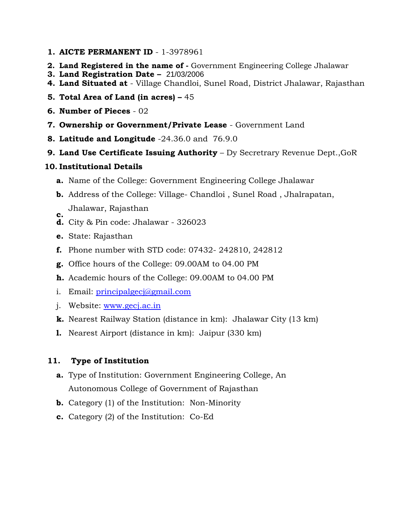- **1. AICTE PERMANENT ID** 1-3978961
- **2. Land Registered in the name of -** Government Engineering College Jhalawar
- **3. Land Registration Date –** 21/03/2006
- **4. Land Situated at** Village Chandloi, Sunel Road, District Jhalawar, Rajasthan
- **5. Total Area of Land (in acres) –** 45
- **6. Number of Pieces** 02
- **7. Ownership or Government/Private Lease** Government Land
- **8. Latitude and Longitude** -24.36.0 and 76.9.0
- **9. Land Use Certificate Issuing Authority** Dy Secretrary Revenue Dept.,GoR

#### **10. Institutional Details**

- **a.** Name of the College: Government Engineering College Jhalawar
- **b.** Address of the College: Village- Chandloi , Sunel Road , Jhalrapatan, Jhalawar, Rajasthan **c.**
- **d.** City & Pin code: Jhalawar 326023
- **e.** State: Rajasthan
- **f.** Phone number with STD code: 07432- 242810, 242812
- **g.** Office hours of the College: 09.00AM to 04.00 PM
- **h.** Academic hours of the College: 09.00AM to 04.00 PM
- i. Email: [principalgecj@gmail.com](mailto:principalgecj@gmail.com)
- j. Website: [www.gecj.ac.in](http://www.gecj.ac.in/)
- **k.** Nearest Railway Station (distance in km): Jhalawar City (13 km)
- **l.** Nearest Airport (distance in km): Jaipur (330 km)

### **11. Type of Institution**

- **a.** Type of Institution: Government Engineering College, An Autonomous College of Government of Rajasthan
- **b.** Category (1) of the Institution: Non-Minority
- **c.** Category (2) of the Institution: Co-Ed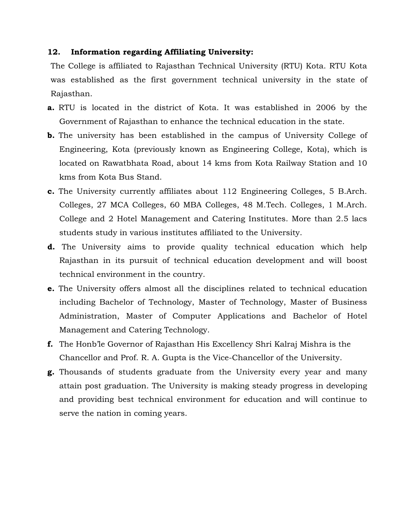#### **12. Information regarding Affiliating University:**

The College is affiliated to Rajasthan Technical University (RTU) Kota. RTU Kota was established as the first government technical university in the state of Rajasthan.

- **a.** RTU is located in the district of Kota. It was established in 2006 by the Government of Rajasthan to enhance the technical education in the state.
- **b.** The university has been established in the campus of University College of Engineering, Kota (previously known as Engineering College, Kota), which is located on Rawatbhata Road, about 14 kms from Kota Railway Station and 10 kms from Kota Bus Stand.
- **c.** The University currently affiliates about 112 Engineering Colleges, 5 B.Arch. Colleges, 27 MCA Colleges, 60 MBA Colleges, 48 M.Tech. Colleges, 1 M.Arch. College and 2 Hotel Management and Catering Institutes. More than 2.5 lacs students study in various institutes affiliated to the University.
- **d.** The University aims to provide quality technical education which help Rajasthan in its pursuit of technical education development and will boost technical environment in the country.
- **e.** The University offers almost all the disciplines related to technical education including Bachelor of Technology, Master of Technology, Master of Business Administration, Master of Computer Applications and Bachelor of Hotel Management and Catering Technology.
- **f.** The Honb'le Governor of Rajasthan His Excellency Shri Kalraj Mishra is the Chancellor and Prof. R. A. Gupta is the Vice-Chancellor of the University.
- **g.** Thousands of students graduate from the University every year and many attain post graduation. The University is making steady progress in developing and providing best technical environment for education and will continue to serve the nation in coming years.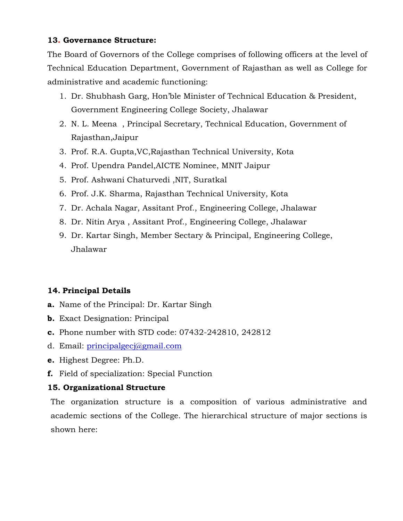### **13. Governance Structure:**

The Board of Governors of the College comprises of following officers at the level of Technical Education Department, Government of Rajasthan as well as College for administrative and academic functioning:

- 1. Dr. Shubhash Garg, Hon'ble Minister of Technical Education & President, Government Engineering College Society, Jhalawar
- 2. N. L. Meena , Principal Secretary, Technical Education, Government of Rajasthan,Jaipur
- 3. Prof. R.A. Gupta,VC,Rajasthan Technical University, Kota
- 4. Prof. Upendra Pandel,AICTE Nominee, MNIT Jaipur
- 5. Prof. Ashwani Chaturvedi ,NIT, Suratkal
- 6. Prof. J.K. Sharma, Rajasthan Technical University, Kota
- 7. Dr. Achala Nagar, Assitant Prof., Engineering College, Jhalawar
- 8. Dr. Nitin Arya , Assitant Prof., Engineering College, Jhalawar
- 9. Dr. Kartar Singh, Member Sectary & Principal, Engineering College, Jhalawar

# **14. Principal Details**

- **a.** Name of the Principal: Dr. Kartar Singh
- **b.** Exact Designation: Principal
- **c.** Phone number with STD code: 07432-242810, 242812
- d. Email: [principalgecj@gmail.com](mailto:principalgecj@gmail.com)
- **e.** Highest Degree: Ph.D.
- **f.** Field of specialization: Special Function

### **15. Organizational Structure**

The organization structure is a composition of various administrative and academic sections of the College. The hierarchical structure of major sections is shown here: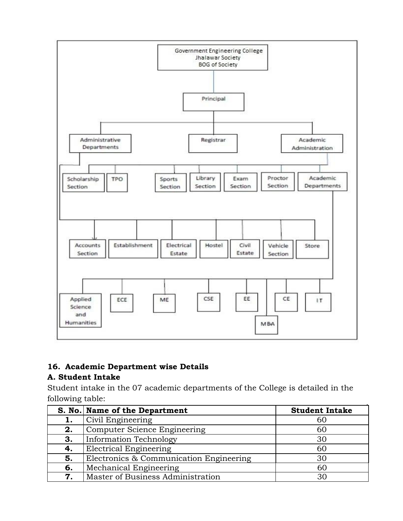

# **16. Academic Department wise Details**

# **A. Student Intake**

Student intake in the 07 academic departments of the College is detailed in the following table:

|    | S. No. Name of the Department           | <b>Student Intake</b> |
|----|-----------------------------------------|-----------------------|
| 1. | Civil Engineering                       | 60                    |
| 2. | Computer Science Engineering            | 60                    |
| 3. | <b>Information Technology</b>           | 30                    |
| 4. | <b>Electrical Engineering</b>           | 60                    |
| 5. | Electronics & Communication Engineering | 30                    |
| 6. | Mechanical Engineering                  | 60                    |
| 7. | Master of Business Administration       | 30                    |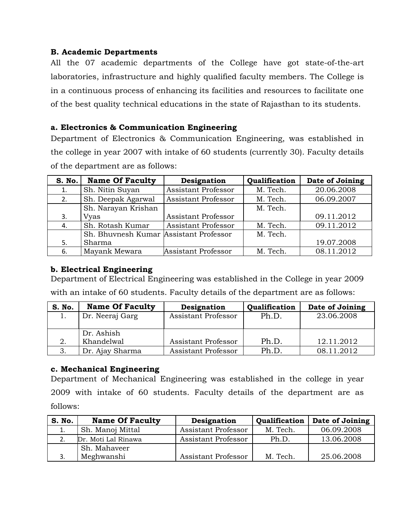### **B. Academic Departments**

All the 07 academic departments of the College have got state-of-the-art laboratories, infrastructure and highly qualified faculty members. The College is in a continuous process of enhancing its facilities and resources to facilitate one of the best quality technical educations in the state of Rajasthan to its students.

### **a. Electronics & Communication Engineering**

Department of Electronics & Communication Engineering, was established in the college in year 2007 with intake of 60 students (currently 30). Faculty details of the department are as follows:

| <b>S. No.</b> | <b>Name Of Faculty</b>                 | Designation                | Qualification | Date of Joining |
|---------------|----------------------------------------|----------------------------|---------------|-----------------|
|               | Sh. Nitin Suyan                        | Assistant Professor        | M. Tech.      | 20.06.2008      |
| 2.            | Sh. Deepak Agarwal                     | <b>Assistant Professor</b> | M. Tech.      | 06.09.2007      |
|               | Sh. Narayan Krishan                    |                            | M. Tech.      |                 |
| 3.            | Vyas                                   | Assistant Professor        |               | 09.11.2012      |
| 4.            | Sh. Rotash Kumar                       | <b>Assistant Professor</b> | M. Tech.      | 09.11.2012      |
|               | Sh. Bhuvnesh Kumar Assistant Professor |                            | M. Tech.      |                 |
| 5.            | Sharma                                 |                            |               | 19.07.2008      |
| 6.            | Mayank Mewara                          | <b>Assistant Professor</b> | M. Tech.      | 08.11.2012      |

### **b. Electrical Engineering**

Department of Electrical Engineering was established in the College in year 2009 with an intake of 60 students. Faculty details of the department are as follows:

| S. No. | <b>Name Of Faculty</b> | Designation         | Qualification | Date of Joining |
|--------|------------------------|---------------------|---------------|-----------------|
|        | Dr. Neeraj Garg        | Assistant Professor | Ph.D.         | 23.06.2008      |
|        |                        |                     |               |                 |
|        | Dr. Ashish             |                     |               |                 |
| 2.     | Khandelwal             | Assistant Professor | Ph.D.         | 12.11.2012      |
|        | Dr. Ajay Sharma        | Assistant Professor | Ph.D.         | 08.11.2012      |

#### **c. Mechanical Engineering**

Department of Mechanical Engineering was established in the college in year 2009 with intake of 60 students. Faculty details of the department are as

follows:

| S. No. | <b>Name Of Faculty</b> | Designation         | Qualification | Date of Joining |
|--------|------------------------|---------------------|---------------|-----------------|
| 1.     | Sh. Manoj Mittal       | Assistant Professor | M. Tech.      | 06.09.2008      |
| 2.     | Dr. Moti Lal Rinawa    | Assistant Professor | Ph.D.         | 13.06.2008      |
|        | Sh. Mahaveer           |                     |               |                 |
| J.     | Meghwanshi             | Assistant Professor | M. Tech.      | 25.06.2008      |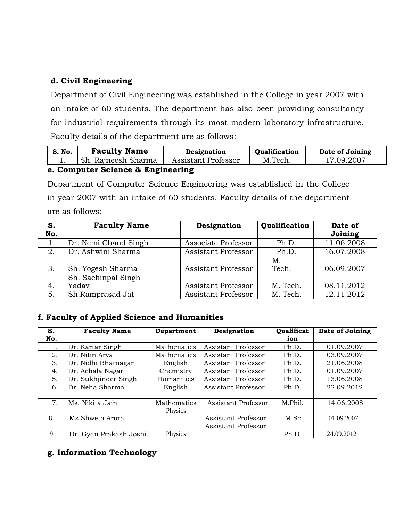### **d. Civil Engineering**

Department of Civil Engineering was established in the College in year 2007 with an intake of 60 students. The department has also been providing consultancy for industrial requirements through its most modern laboratory infrastructure. Faculty details of the department are as follows:

| S. No.   | <b>Faculty Name</b>    | Designation         | <b>Oualification</b> | Date of Joining |  |
|----------|------------------------|---------------------|----------------------|-----------------|--|
| <b>.</b> | Raineesh Sharma<br>Sh. | Assistant Professor | M.Tech.              | 17.09.2007      |  |
|          |                        |                     |                      |                 |  |

#### **e. Computer Science & Engineering**

Department of Computer Science Engineering was established in the College in year 2007 with an intake of 60 students. Faculty details of the department are as follows:

| S.<br>No. | <b>Faculty Name</b>  | Designation         | Qualification | Date of<br>Joining |
|-----------|----------------------|---------------------|---------------|--------------------|
|           | Dr. Nemi Chand Singh | Associate Professor | Ph.D.         | 11.06.2008         |
| 2.        | Dr. Ashwini Sharma   | Assistant Professor | Ph.D.         | 16.07.2008         |
|           |                      |                     | Μ.            |                    |
| 3.        | Sh. Yogesh Sharma    | Assistant Professor | Tech.         | 06.09.2007         |
|           | Sh. Sachinpal Singh  |                     |               |                    |
| 4.        | Yadav                | Assistant Professor | M. Tech.      | 08.11.2012         |
| 5.        | Sh.Ramprasad Jat     | Assistant Professor | M. Tech.      | 12.11.2012         |

### **f. Faculty of Applied Science and Humanities**

| S.  | <b>Faculty Name</b>    | Department  | Designation         | Qualificat | Date of Joining |
|-----|------------------------|-------------|---------------------|------------|-----------------|
| No. |                        |             |                     | ion        |                 |
| ī.  | Dr. Kartar Singh       | Mathematics | Assistant Professor | Ph.D.      | 01.09.2007      |
| 2.  | Dr. Nitin Arya         | Mathematics | Assistant Professor | Ph.D.      | 03.09.2007      |
| 3.  | Dr. Nidhi Bhatnagar    | English     | Assistant Professor | Ph.D.      | 21.06.2008      |
| 4.  | Dr. Achala Nagar       | Chemistry   | Assistant Professor | Ph.D.      | 01.09.2007      |
| 5.  | Dr. Sukhjinder Singh   | Humanities  | Assistant Professor | Ph.D.      | 13.06.2008      |
| 6.  | Dr. Neha Sharma        | English     | Assistant Professor | Ph.D.      | 22.09.2012      |
|     |                        |             |                     |            |                 |
| 7.  | Ms. Nikita Jain        | Mathematics | Assistant Professor | M.Phil.    | 14.06.2008      |
|     |                        | Physics     |                     |            |                 |
| 8.  | Ms Shweta Arora        |             | Assistant Professor | M.Sc       | 01.09.2007      |
|     |                        |             | Assistant Professor |            |                 |
| 9   | Dr. Gyan Prakash Joshi | Physics     |                     | Ph.D.      | 24.09.2012      |

### **g. Information Technology**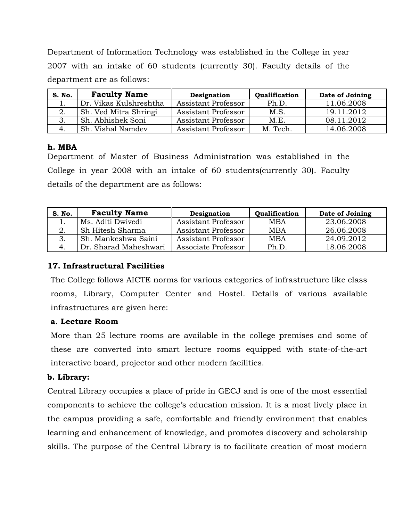Department of Information Technology was established in the College in year 2007 with an intake of 60 students (currently 30). Faculty details of the department are as follows:

| S. No. | <b>Faculty Name</b>    | Designation         | Qualification | Date of Joining |
|--------|------------------------|---------------------|---------------|-----------------|
|        | Dr. Vikas Kulshreshtha | Assistant Professor | Ph.D.         | 11.06.2008      |
| 2.     | Sh. Ved Mitra Shringi  | Assistant Professor | M.S.          | 19.11.2012      |
| 3.     | Sh. Abhishek Soni      | Assistant Professor | M.E.          | 08.11.2012      |
|        | Sh. Vishal Namdev      | Assistant Professor | M. Tech.      | 14.06.2008      |

#### **h. MBA**

Department of Master of Business Administration was established in the College in year 2008 with an intake of 60 students(currently 30). Faculty details of the department are as follows:

| S. No. | <b>Faculty Name</b>   | Designation         | Qualification | Date of Joining |
|--------|-----------------------|---------------------|---------------|-----------------|
| ᆠ.     | Ms. Aditi Dwivedi     | Assistant Professor | <b>MBA</b>    | 23.06.2008      |
|        | Sh Hitesh Sharma      | Assistant Professor | <b>MBA</b>    | 26.06.2008      |
| 3.     | Sh. Mankeshwa Saini   | Assistant Professor | <b>MBA</b>    | 24.09.2012      |
|        | Dr. Sharad Maheshwari | Associate Professor | Ph.D.         | 18.06.2008      |

### **17. Infrastructural Facilities**

The College follows AICTE norms for various categories of infrastructure like class rooms, Library, Computer Center and Hostel. Details of various available infrastructures are given here:

### **a. Lecture Room**

More than 25 lecture rooms are available in the college premises and some of these are converted into smart lecture rooms equipped with state-of-the-art interactive board, projector and other modern facilities.

#### **b. Library:**

Central Library occupies a place of pride in GECJ and is one of the most essential components to achieve the college's education mission. It is a most lively place in the campus providing a safe, comfortable and friendly environment that enables learning and enhancement of knowledge, and promotes discovery and scholarship skills. The purpose of the Central Library is to facilitate creation of most modern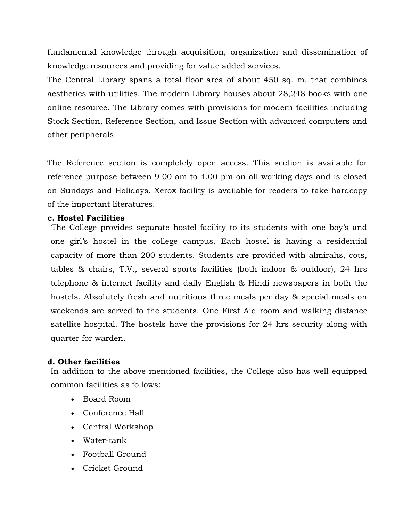fundamental knowledge through acquisition, organization and dissemination of knowledge resources and providing for value added services.

The Central Library spans a total floor area of about 450 sq. m. that combines aesthetics with utilities. The modern Library houses about 28,248 books with one online resource. The Library comes with provisions for modern facilities including Stock Section, Reference Section, and Issue Section with advanced computers and other peripherals.

The Reference section is completely open access. This section is available for reference purpose between 9.00 am to 4.00 pm on all working days and is closed on Sundays and Holidays. Xerox facility is available for readers to take hardcopy of the important literatures.

#### **c. Hostel Facilities**

The College provides separate hostel facility to its students with one boy's and one girl's hostel in the college campus. Each hostel is having a residential capacity of more than 200 students. Students are provided with almirahs, cots, tables & chairs, T.V., several sports facilities (both indoor & outdoor), 24 hrs telephone & internet facility and daily English & Hindi newspapers in both the hostels. Absolutely fresh and nutritious three meals per day & special meals on weekends are served to the students. One First Aid room and walking distance satellite hospital. The hostels have the provisions for 24 hrs security along with quarter for warden.

#### **d. Other facilities**

In addition to the above mentioned facilities, the College also has well equipped common facilities as follows:

- Board Room
- Conference Hall
- Central Workshop
- Water-tank
- Football Ground
- Cricket Ground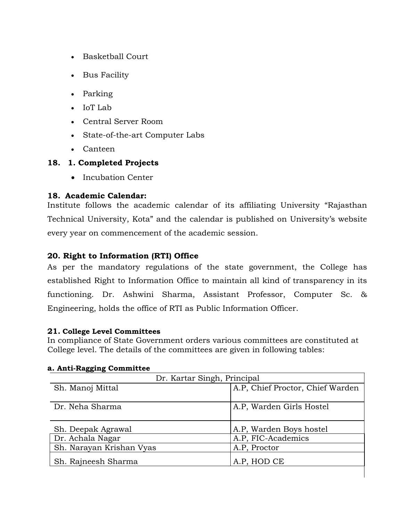- Basketball Court
- Bus Facility
- Parking
- IoT Lab
- Central Server Room
- State-of-the-art Computer Labs
- Canteen

### **18. 1. Completed Projects**

• Incubation Center

#### **18. Academic Calendar:**

Institute follows the academic calendar of its affiliating University "Rajasthan Technical University, Kota" and the calendar is published on University's website every year on commencement of the academic session.

### **20. Right to Information (RTI) Office**

As per the mandatory regulations of the state government, the College has established Right to Information Office to maintain all kind of transparency in its functioning. Dr. Ashwini Sharma, Assistant Professor, Computer Sc. & Engineering, holds the office of RTI as Public Information Officer.

#### **21. College Level Committees**

In compliance of State Government orders various committees are constituted at College level. The details of the committees are given in following tables:

| Dr. Kartar Singh, Principal |                                  |  |  |  |
|-----------------------------|----------------------------------|--|--|--|
| Sh. Manoj Mittal            | A.P, Chief Proctor, Chief Warden |  |  |  |
| Dr. Neha Sharma             | A.P. Warden Girls Hostel         |  |  |  |
| Sh. Deepak Agrawal          | A.P. Warden Boys hostel          |  |  |  |
| Dr. Achala Nagar            | A.P, FIC-Academics               |  |  |  |
| Sh. Narayan Krishan Vyas    | A.P. Proctor                     |  |  |  |
| Sh. Rajneesh Sharma         | A.P, HOD CE                      |  |  |  |
|                             |                                  |  |  |  |

#### **a. Anti-Ragging Committee**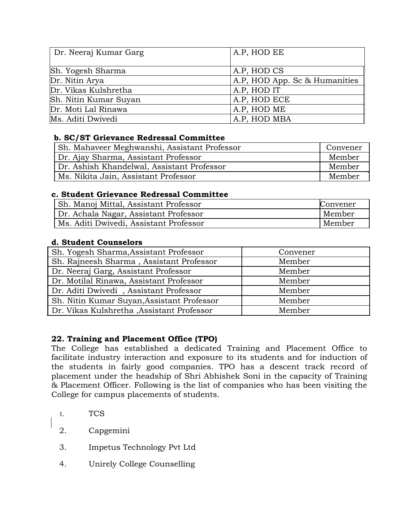| Dr. Neeraj Kumar Garg | A.P, HOD EE                   |
|-----------------------|-------------------------------|
| Sh. Yogesh Sharma     | A.P. HOD CS                   |
| Dr. Nitin Arya        | A.P, HOD App. Sc & Humanities |
| Dr. Vikas Kulshretha  | A.P, HOD IT                   |
| Sh. Nitin Kumar Suyan | A.P. HOD ECE                  |
| Dr. Moti Lal Rinawa   | A.P. HOD ME                   |
| Ms. Aditi Dwivedi     | A.P, HOD MBA                  |

### **b. SC/ST Grievance Redressal Committee**

| Sh. Mahaveer Meghwanshi, Assistant Professor | Convener |
|----------------------------------------------|----------|
| Dr. Ajay Sharma, Assistant Professor         | Member   |
| Dr. Ashish Khandelwal, Assistant Professor   | Member   |
| Ms. Nikita Jain, Assistant Professor         | Member   |

### **c. Student Grievance Redressal Committee**

| Sh. Manoj Mittal, Assistant Professor  | Convener |
|----------------------------------------|----------|
| Dr. Achala Nagar, Assistant Professor  | Member   |
| Ms. Aditi Dwivedi, Assistant Professor | Member   |

### **d. Student Counselors**

| Sh. Yogesh Sharma, Assistant Professor     | Convener |
|--------------------------------------------|----------|
| Sh. Rajneesh Sharma, Assistant Professor   | Member   |
| Dr. Neeraj Garg, Assistant Professor       | Member   |
| Dr. Motilal Rinawa, Assistant Professor    | Member   |
| Dr. Aditi Dwivedi, Assistant Professor     | Member   |
| Sh. Nitin Kumar Suyan, Assistant Professor | Member   |
| Dr. Vikas Kulshretha , Assistant Professor | Member   |

#### **22. Training and Placement Office (TPO)**

The College has established a dedicated Training and Placement Office to facilitate industry interaction and exposure to its students and for induction of the students in fairly good companies. TPO has a descent track record of placement under the headship of Shri Abhishek Soni in the capacity of Training & Placement Officer. Following is the list of companies who has been visiting the College for campus placements of students.

- 1. TCS
- 2. Capgemini
- 3. Impetus Technology Pvt Ltd
- 4. Unirely College Counselling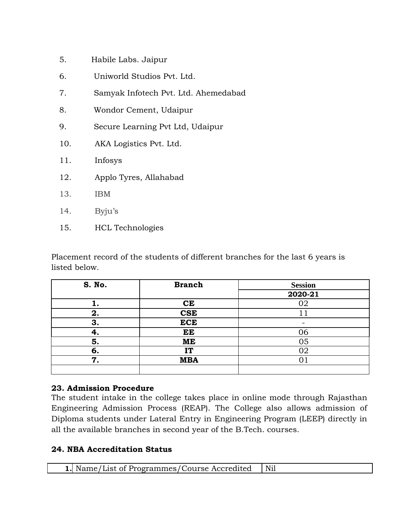| 5.  | Habile Labs. Jaipur                  |
|-----|--------------------------------------|
| 6.  | Uniworld Studios Pvt. Ltd.           |
| 7.  | Samyak Infotech Pvt. Ltd. Ahemedabad |
| 8.  | Wondor Cement, Udaipur               |
| 9.  | Secure Learning Pvt Ltd, Udaipur     |
| 10. | AKA Logistics Pvt. Ltd.              |
| 11. | Infosys                              |
| 12. | Applo Tyres, Allahabad               |
| 13. | IBM                                  |
| 14. | Byju's                               |
| 15. | <b>HCL</b> Technologies              |

Placement record of the students of different branches for the last 6 years is listed below.

| S. No. | <b>Branch</b> | <b>Session</b> |
|--------|---------------|----------------|
|        |               | 2020-21        |
|        | <b>CE</b>     |                |
| 2.     | <b>CSE</b>    |                |
| 3.     | <b>ECE</b>    |                |
| 4.     | EE            | 06             |
| 5.     | ME            | 05             |
| 6.     | IT            | 02             |
| 7.     | <b>MBA</b>    |                |
|        |               |                |

### **23. Admission Procedure**

The student intake in the college takes place in online mode through Rajasthan Engineering Admission Process (REAP). The College also allows admission of Diploma students under Lateral Entry in Engineering Program (LEEP) directly in all the available branches in second year of the B.Tech. courses.

# **24. NBA Accreditation Status**

| . Name/List of Programmes/Course Accredited | Nil |
|---------------------------------------------|-----|
|---------------------------------------------|-----|